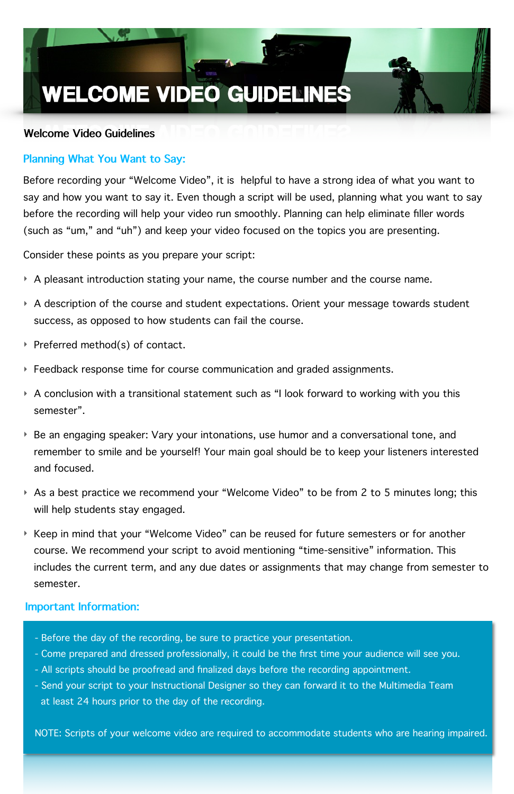Before recording your "Welcome Video", it is helpful to have a strong idea of what you want to say and how you want to say it. Even though a script will be used, planning what you want to say before the recording will help your video run smoothly. Planning can help eliminate filler words (such as "um," and "uh") and keep your video focused on the topics you are presenting.

Consider these points as you prepare your script:

- ‣ A pleasant introduction stating your name, the course number and the course name.
- ‣ A description of the course and student expectations. Orient your message towards student success, as opposed to how students can fail the course.
- ‣ Preferred method(s) of contact.
- ‣ Feedback response time for course communication and graded assignments.
- ‣ A conclusion with a transitional statement such as "I look forward to working with you this semester".
- ‣ Be an engaging speaker: Vary your intonations, use humor and a conversational tone, and remember to smile and be yourself! Your main goal should be to keep your listeners interested and focused.
- ‣ As a best practice we recommend your "Welcome Video" to be from 2 to 5 minutes long; this will help students stay engaged.
- ‣ Keep in mind that your "Welcome Video" can be reused for future semesters or for another course. We recommend your script to avoid mentioning "time-sensitive" information. This includes the current term, and any due dates or assignments that may change from semester to

semester.

# **WELCOME VIDEO GUIDELINES**

## **Welcome Video Guidelines**

#### **Important Information:**

- Before the day of the recording, be sure to practice your presentation.
- Come prepared and dressed professionally, it could be the first time your audience will see you.
- All scripts should be proofread and finalized days before the recording appointment.
- Send your script to your Instructional Designer so they can forward it to the Multimedia Team at least 24 hours prior to the day of the recording.

NOTE: Scripts of your welcome video are required to accommodate students who are hearing impaired.

## **Planning What You Want to Say:**